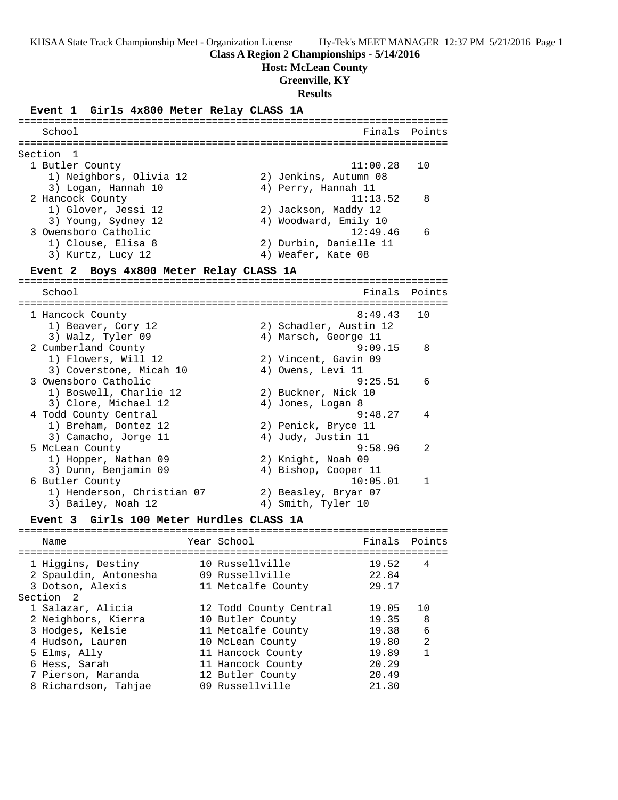**Class A Region 2 Championships - 5/14/2016**

**Host: McLean County**

**Greenville, KY**

**Results**

# **Event 1 Girls 4x800 Meter Relay CLASS 1A** =======================================================================

| School         |                                  |                    |                                      | Finals   | Points       |
|----------------|----------------------------------|--------------------|--------------------------------------|----------|--------------|
| Section        | 1                                |                    | ------------------------------------ |          |              |
|                | 1 Butler County                  |                    |                                      | 11:00.28 | 10           |
|                | 1) Neighbors, Olivia 12          |                    | 2) Jenkins, Autumn 08                |          |              |
|                | 3) Logan, Hannah 10              |                    | 4) Perry, Hannah 11                  |          |              |
|                | 2 Hancock County                 |                    |                                      | 11:13.52 | 8            |
|                | 1) Glover, Jessi 12              |                    | 2) Jackson, Maddy 12                 |          |              |
|                | 3) Young, Sydney 12              |                    | 4) Woodward, Emily 10                |          |              |
|                | 3 Owensboro Catholic             |                    |                                      | 12:49.46 | 6            |
|                | 1) Clouse, Elisa 8               |                    | 2) Durbin, Danielle 11               |          |              |
|                | 3) Kurtz, Lucy 12                |                    | 4) Weafer, Kate 08                   |          |              |
| Event 2        | Boys 4x800 Meter Relay CLASS 1A  |                    |                                      |          |              |
|                |                                  |                    |                                      |          |              |
| School         |                                  |                    |                                      | Finals   | Points       |
|                |                                  |                    |                                      |          |              |
|                | 1 Hancock County                 |                    |                                      | 8:49.43  | 10           |
|                | 1) Beaver, Cory 12               |                    | 2) Schadler, Austin 12               |          |              |
|                | 3) Walz, Tyler 09                |                    | 4) Marsch, George 11                 |          |              |
|                | 2 Cumberland County              |                    |                                      | 9:09.15  | 8            |
|                | 1) Flowers, Will 12              |                    | 2) Vincent, Gavin 09                 |          |              |
|                | 3) Coverstone, Micah 10          |                    | 4) Owens, Levi 11                    |          |              |
|                | 3 Owensboro Catholic             |                    |                                      | 9:25.51  | 6            |
|                | 1) Boswell, Charlie 12           |                    | 2) Buckner, Nick 10                  |          |              |
|                | 3) Clore, Michael 12             |                    | 4) Jones, Logan 8                    |          |              |
|                | 4 Todd County Central            |                    |                                      | 9:48.27  | 4            |
|                | 1) Breham, Dontez 12             |                    | 2) Penick, Bryce 11                  |          |              |
|                | 3) Camacho, Jorge 11             |                    | 4) Judy, Justin 11                   |          |              |
|                | 5 McLean County                  |                    |                                      | 9:58.96  | 2            |
|                | 1) Hopper, Nathan 09             |                    | 2) Knight, Noah 09                   |          |              |
|                | 3) Dunn, Benjamin 09             |                    | 4) Bishop, Cooper 11                 |          |              |
|                | 6 Butler County                  |                    |                                      | 10:05.01 | 1            |
|                | 1) Henderson, Christian 07       |                    | 2) Beasley, Bryar 07                 |          |              |
|                | 3) Bailey, Noah 12               |                    | 4) Smith, Tyler 10                   |          |              |
| <b>Event 3</b> | Girls 100 Meter Hurdles CLASS 1A |                    |                                      |          |              |
| Name           |                                  | Year School        |                                      | Finals   | Points       |
|                |                                  |                    |                                      |          |              |
|                | 1 Higgins, Destiny               | 10 Russellville    |                                      | 19.52    | 4            |
|                | 2 Spauldin, Antonesha            | 09 Russellville    |                                      | 22.84    |              |
|                | 3 Dotson, Alexis                 | 11 Metcalfe County |                                      | 29.17    |              |
| Section 2      |                                  |                    |                                      |          |              |
|                | 1 Salazar, Alicia                |                    | 12 Todd County Central               | 19.05    | 10           |
|                | 2 Neighbors, Kierra              | 10 Butler County   |                                      | 19.35    | 8            |
|                | 3 Hodges, Kelsie                 | 11 Metcalfe County |                                      | 19.38    | 6            |
|                | 4 Hudson, Lauren                 | 10 McLean County   |                                      | 19.80    | 2            |
|                | 5 Elms, Ally                     | 11 Hancock County  |                                      | 19.89    | $\mathbf{1}$ |
|                | 6 Hess, Sarah                    | 11 Hancock County  |                                      | 20.29    |              |
|                | 7 Pierson, Maranda               | 12 Butler County   |                                      | 20.49    |              |
|                | 8 Richardson, Tahjae             | 09 Russellville    |                                      | 21.30    |              |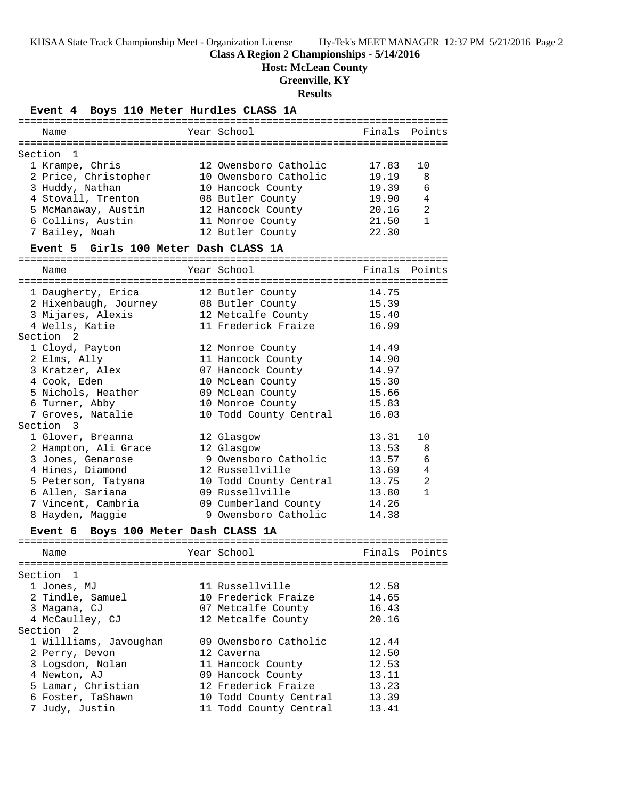# **Class A Region 2 Championships - 5/14/2016**

**Host: McLean County**

**Greenville, KY**

# **Results**

| Event 4 Boys 110 Meter Hurdles CLASS 1A        |                        |        |              |
|------------------------------------------------|------------------------|--------|--------------|
| Name                                           | Year School            | Finals | Points       |
|                                                |                        |        |              |
| Section<br>1                                   |                        |        |              |
| 1 Krampe, Chris                                | 12 Owensboro Catholic  | 17.83  | 10           |
| 2 Price, Christopher                           | 10 Owensboro Catholic  | 19.19  | 8            |
| 3 Huddy, Nathan                                | 10 Hancock County      | 19.39  | 6            |
| 4 Stovall, Trenton                             | 08 Butler County       | 19.90  | 4            |
| 5 McManaway, Austin                            | 12 Hancock County      | 20.16  | 2            |
| 6 Collins, Austin                              | 11 Monroe County       | 21.50  | 1            |
| 7 Bailey, Noah                                 | 12 Butler County       | 22.30  |              |
| Event 5 Girls 100 Meter Dash CLASS 1A          |                        |        |              |
| Name                                           | Year School            | Finals | Points       |
|                                                |                        |        |              |
| 1 Daugherty, Erica                             | 12 Butler County       | 14.75  |              |
| 2 Hixenbaugh, Journey<br>3 Mijares, Alexis     | 08 Butler County       | 15.39  |              |
|                                                | 12 Metcalfe County     | 15.40  |              |
| 4 Wells, Katie                                 | 11 Frederick Fraize    | 16.99  |              |
| Section <sub>2</sub>                           |                        |        |              |
| 1 Cloyd, Payton                                | 12 Monroe County       | 14.49  |              |
| 2 Elms, Ally                                   | 11 Hancock County      | 14.90  |              |
| 3 Kratzer, Alex                                | 07 Hancock County      | 14.97  |              |
| 4 Cook, Eden                                   | 10 McLean County       | 15.30  |              |
| 5 Nichols, Heather                             | 09 McLean County       | 15.66  |              |
| 6 Turner, Abby                                 | 10 Monroe County       | 15.83  |              |
| 7 Groves, Natalie                              | 10 Todd County Central | 16.03  |              |
| Section 3                                      |                        |        |              |
| 1 Glover, Breanna                              | 12 Glasgow             | 13.31  | 10           |
| 2 Hampton, Ali Grace                           | 12 Glasgow             | 13.53  | 8            |
| 3 Jones, Genarose                              | 9 Owensboro Catholic   | 13.57  | 6            |
| 4 Hines, Diamond                               | 12 Russellville        | 13.69  | 4            |
|                                                | 10 Todd County Central | 13.75  | 2            |
| 5 Peterson, Tatyana                            | 09 Russellville        | 13.80  | $\mathbf{1}$ |
| 6 Allen, Sariana                               |                        |        |              |
| 7 Vincent, Cambria                             | 09 Cumberland County   | 14.26  |              |
| 8 Hayden, Maggie                               | 9 Owensboro Catholic   | 14.38  |              |
| Boys 100 Meter Dash CLASS 1A<br><b>Event 6</b> |                        |        |              |
| Name                                           | Year School            | Finals | Points       |
|                                                |                        |        |              |
| Section 1                                      |                        |        |              |
| 1 Jones, MJ                                    | 11 Russellville        | 12.58  |              |
| 2 Tindle, Samuel                               | 10 Frederick Fraize    | 14.65  |              |
| 3 Magana, CJ                                   | 07 Metcalfe County     | 16.43  |              |
| 4 McCaulley, CJ                                | 12 Metcalfe County     | 20.16  |              |
| Section 2                                      |                        |        |              |
| 1 Willliams, Javoughan                         | 09 Owensboro Catholic  | 12.44  |              |
| 2 Perry, Devon                                 | 12 Caverna             | 12.50  |              |
| 3 Logsdon, Nolan                               | 11 Hancock County      | 12.53  |              |
| 4 Newton, AJ                                   | 09 Hancock County      | 13.11  |              |
| 5 Lamar, Christian                             | 12 Frederick Fraize    | 13.23  |              |
| 6 Foster, TaShawn                              | 10 Todd County Central | 13.39  |              |
| 7 Judy, Justin                                 | 11 Todd County Central | 13.41  |              |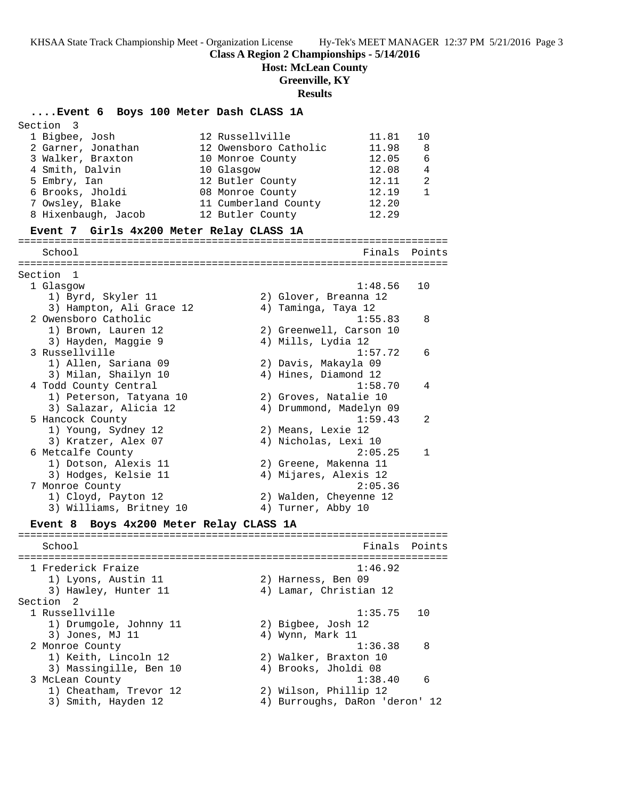**Class A Region 2 Championships - 5/14/2016**

**Host: McLean County**

**Greenville, KY**

#### **Results**

**....Event 6 Boys 100 Meter Dash CLASS 1A** Section 3 1 Bigbee, Josh 12 Russellville 11.81 10 2 Garner, Jonathan 12 Owensboro Catholic 11.98 8 3 Walker, Braxton 10 Monroe County 12.05 6 4 Smith, Dalvin 10 Glasgow 12.08 4 5 Embry, Ian 12 Butler County 12.11 2 6 Brooks, Jholdi 08 Monroe County 12.19 1 7 Owsley, Blake 11 Cumberland County 12.20 8 Hixenbaugh, Jacob 12 Butler County 12.29 **Event 7 Girls 4x200 Meter Relay CLASS 1A** ======================================================================= School **Finals Points** ======================================================================= Section 1 1 Glasgow 1:48.56 10 1) Byrd, Skyler 11 2) Glover, Breanna 12 3) Hampton, Ali Grace 12 4) Taminga, Taya 12 2 Owensboro Catholic 1:55.83 8 1) Brown, Lauren 12 2) Greenwell, Carson 10 3) Hayden, Maggie 9  $\hskip1cm \hskip1cm 4$ ) Mills, Lydia 12 3 Russellville 1:57.72 6 1) Allen, Sariana 09 2) Davis, Makayla 09 3) Milan, Shailyn 10 4) Hines, Diamond 12 4 Todd County Central 1:58.70 4 1) Peterson, Tatyana 10 2) Groves, Natalie 10 3) Salazar, Alicia 12 4) Drummond, Madelyn 09 5 Hancock County 1:59.43 2 1) Young, Sydney 12 2) Means, Lexie 12 3) Kratzer, Alex 07 4) Nicholas, Lexi 10 6 Metcalfe County 2:05.25 1 1) Dotson, Alexis 11 2) Greene, Makenna 11 3) Hodges, Kelsie 11 4) Mijares, Alexis 12 7 Monroe County 2:05.36 1) Cloyd, Payton 12 2) Walden, Cheyenne 12 3) Williams, Britney 10  $\hskip1cm$  4) Turner, Abby 10 **Event 8 Boys 4x200 Meter Relay CLASS 1A** ======================================================================= School **Finals Points** ======================================================================= 1 Frederick Fraize 1:46.92 1) Lyons, Austin 11 2) Harness, Ben 09 3) Hawley, Hunter 11 4) Lamar, Christian 12 Section 2<br>1 Russellville 1 Russellville 1:35.75 10 1) Drumgole, Johnny 11 2) Bigbee, Josh 12 3) Jones, MJ 11 4) Wynn, Mark 11 2 Monroe County 1:36.38 8 1) Keith, Lincoln 12 2) Walker, Braxton 10 3) Massingille, Ben 10  $\hskip1cm$  4) Brooks, Jholdi 08 3 McLean County 1:38.40 6 1) Cheatham, Trevor 12 2) Wilson, Phillip 12 3) Smith, Hayden 12 4) Burroughs, DaRon 'deron' 12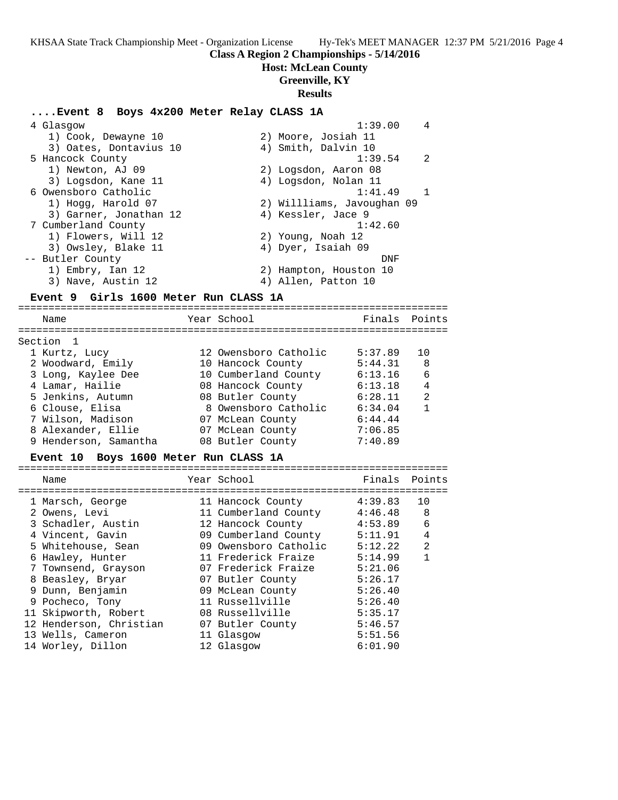**Class A Region 2 Championships - 5/14/2016**

**Host: McLean County**

**Greenville, KY**

#### **Results**

# **....Event 8 Boys 4x200 Meter Relay CLASS 1A**

| 4 Glasgow              | 4<br>1:39.00               |
|------------------------|----------------------------|
| 1) Cook, Dewayne 10    | 2) Moore, Josiah 11        |
| 3) Oates, Dontavius 10 | 4) Smith, Dalvin 10        |
| 5 Hancock County       | $\overline{2}$<br>1:39.54  |
| 1) Newton, AJ 09       | 2) Logsdon, Aaron 08       |
| 3) Logsdon, Kane 11    | 4) Logsdon, Nolan 11       |
| 6 Owensboro Catholic   | 1:41.49                    |
| 1) Hogg, Harold 07     | 2) Willliams, Javoughan 09 |
| 3) Garner, Jonathan 12 | 4) Kessler, Jace 9         |
| 7 Cumberland County    | 1:42.60                    |
| 1) Flowers, Will 12    | 2) Young, Noah 12          |
| 3) Owsley, Blake 11    | 4) Dyer, Isaiah 09         |
| -- Butler County       | DNF                        |
| 1) Embry, Ian 12       | 2) Hampton, Houston 10     |
| 3) Nave, Austin 12     | 4) Allen, Patton 10        |
|                        |                            |

# **Event 9 Girls 1600 Meter Run CLASS 1A**

======================================================================= Name Year School Finals Points ======================================================================= Section 1 1 Kurtz, Lucy 12 Owensboro Catholic 5:37.89 10 2 Woodward, Emily 10 Hancock County 5:44.31 8 3 Long, Kaylee Dee 10 Cumberland County 6:13.16 6 4 Lamar, Hailie 08 Hancock County 6:13.18 4 5 Jenkins, Autumn 08 Butler County 6:28.11 2 6 Clouse, Elisa 8 Owensboro Catholic 6:34.04 1 7 Wilson, Madison 07 McLean County 6:44.44 8 Alexander, Ellie 07 McLean County 7:06.85 9 Henderson, Samantha 08 Butler County 7:40.89

# **Event 10 Boys 1600 Meter Run CLASS 1A**

| Name                    | Year School           | Finals  | Points         |
|-------------------------|-----------------------|---------|----------------|
| 1 Marsch, George        | 11 Hancock County     | 4:39.83 | 10             |
| 2 Owens, Levi           | 11 Cumberland County  | 4:46.48 | 8              |
| 3 Schadler, Austin      | 12 Hancock County     | 4:53.89 | 6              |
| 4 Vincent, Gavin        | 09 Cumberland County  | 5:11.91 | 4              |
| 5 Whitehouse, Sean      | 09 Owensboro Catholic | 5:12.22 | $\overline{2}$ |
| 6 Hawley, Hunter        | 11 Frederick Fraize   | 5:14.99 | 1              |
| 7 Townsend, Grayson     | 07 Frederick Fraize   | 5:21.06 |                |
| 8 Beasley, Bryar        | 07 Butler County      | 5:26.17 |                |
| 9 Dunn, Benjamin        | 09 McLean County      | 5:26.40 |                |
| 9 Pocheco, Tony         | 11 Russellville       | 5:26.40 |                |
| 11 Skipworth, Robert    | 08 Russellville       | 5:35.17 |                |
| 12 Henderson, Christian | 07 Butler County      | 5:46.57 |                |
| 13 Wells, Cameron       | 11 Glasgow            | 5:51.56 |                |
| 14 Worley, Dillon       | 12 Glasgow            | 6:01.90 |                |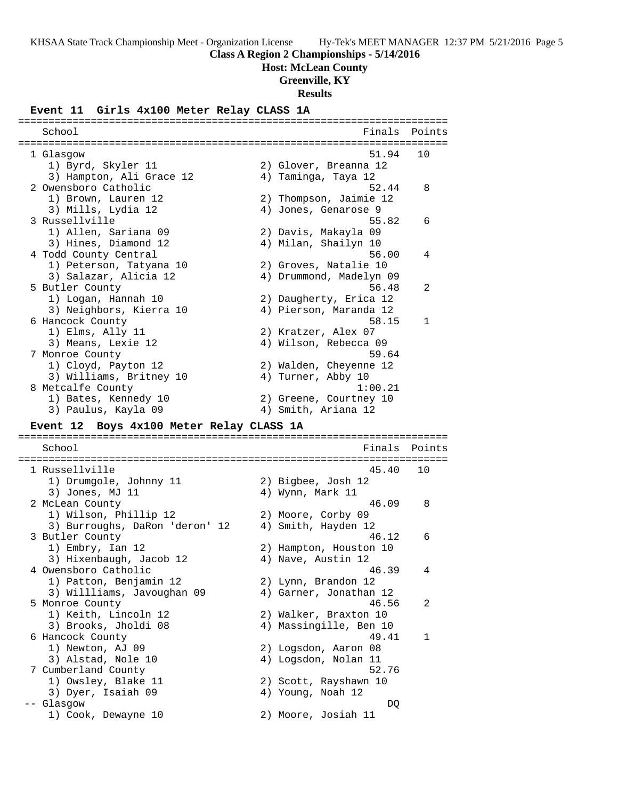**Class A Region 2 Championships - 5/14/2016**

**Host: McLean County**

**Greenville, KY**

#### **Results**

# **Event 11 Girls 4x100 Meter Relay CLASS 1A**

School **Finals** Points ======================================================================= 1 Glasgow 51.94 10 1) Byrd, Skyler 11 2) Glover, Breanna 12 3) Hampton, Ali Grace 12 4) Taminga, Taya 12 2 Owensboro Catholic 52.44 8 1) Brown, Lauren 12 2) Thompson, Jaimie 12 3) Mills, Lydia 12 4) Jones, Genarose 9 3 Russellville 55.82 6 1) Allen, Sariana 09 2) Davis, Makayla 09 3) Hines, Diamond 12 4) Milan, Shailyn 10 4 Todd County Central 56.00 4 1) Peterson, Tatyana 10 2) Groves, Natalie 10 3) Salazar, Alicia 12 4) Drummond, Madelyn 09 5 Butler County 56.48 2 1) Logan, Hannah 10 2) Daugherty, Erica 12 3) Neighbors, Kierra 10 4) Pierson, Maranda 12 6 Hancock County 58.15 1 1) Elms, Ally 11 2) Kratzer, Alex 07 3) Means, Lexie 12 4) Wilson, Rebecca 09 7 Monroe County 59.64 1) Cloyd, Payton 12 2) Walden, Cheyenne 12 3) Williams, Britney 10  $\hskip1cm$  4) Turner, Abby 10 8 Metcalfe County 1:00.21 1) Bates, Kennedy 10 2) Greene, Courtney 10 3) Paulus, Kayla 09 4) Smith, Ariana 12

=======================================================================

### **Event 12 Boys 4x100 Meter Relay CLASS 1A**

======================================================================= School **Finals Points** ======================================================================= 1 Russellville 45.40 10 1) Drumgole, Johnny 11 2) Bigbee, Josh 12 3) Jones, MJ 11 4) Wynn, Mark 11 2 McLean County 46.09 8 1) Wilson, Phillip 12 2) Moore, Corby 09 3) Burroughs, DaRon 'deron' 12 4) Smith, Hayden 12 3 Butler County 46.12 6 1) Embry, Ian 12 2) Hampton, Houston 10 3) Hixenbaugh, Jacob 12 4) Nave, Austin 12 4 Owensboro Catholic 46.39 4 1) Patton, Benjamin 12 2) Lynn, Brandon 12 3) Willliams, Javoughan 09 4) Garner, Jonathan 12 5 Monroe County 46.56 2 1) Keith, Lincoln 12 2) Walker, Braxton 10 3) Brooks, Jholdi 08 4) Massingille, Ben 10 6 Hancock County 49.41 1 1) Newton, AJ 09 2) Logsdon, Aaron 08 3) Alstad, Nole 10 4) Logsdon, Nolan 11 7 Cumberland County 52.76 1) Owsley, Blake 11 2) Scott, Rayshawn 10 3) Dyer, Isaiah 09  $\hskip1cm 4$ ) Young, Noah 12 -- Glasgow DQ 1) Cook, Dewayne 10 2) Moore, Josiah 11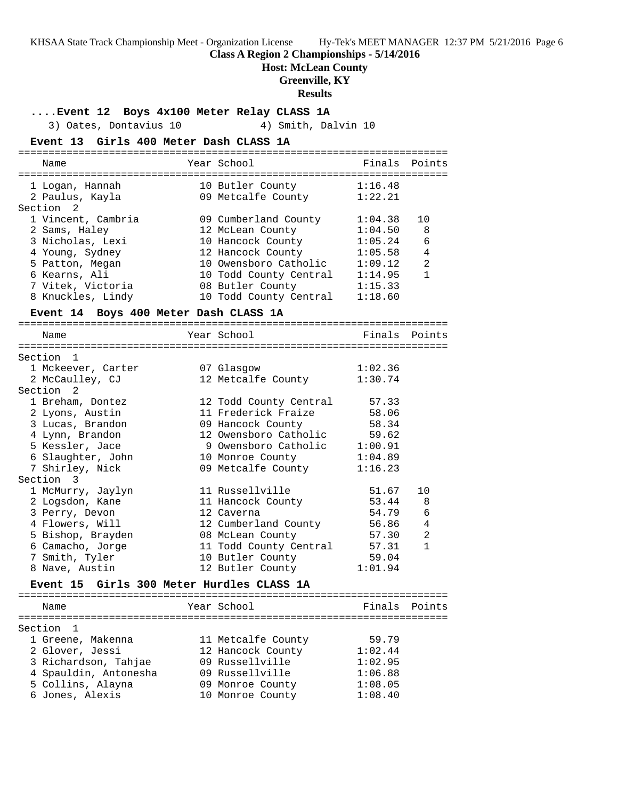**Class A Region 2 Championships - 5/14/2016**

**Host: McLean County**

**Greenville, KY**

#### **Results**

**....Event 12 Boys 4x100 Meter Relay CLASS 1A**

3) Oates, Dontavius 10 4) Smith, Dalvin 10 **Event 13 Girls 400 Meter Dash CLASS 1A** ======================================================================= Name Tear School Tear School Finals Points ======================================================================= 1 Logan, Hannah 10 Butler County 1:16.48 2 Paulus, Kayla 09 Metcalfe County 1:22.21 Section 2 1 Vincent, Cambria 09 Cumberland County 1:04.38 10 2 Sams, Haley 12 McLean County 1:04.50 8 3 Nicholas, Lexi 10 Hancock County 1:05.24 6 4 Young, Sydney 12 Hancock County 1:05.58 4 5 Patton, Megan 10 Owensboro Catholic 1:09.12 2 6 Kearns, Ali 10 Todd County Central 1:14.95 1 7 Vitek, Victoria 08 Butler County 1:15.33 8 Knuckles, Lindy 10 Todd County Central 1:18.60 **Event 14 Boys 400 Meter Dash CLASS 1A** ======================================================================= Name Year School Finals Points ======================================================================= Section 1 1 Mckeever, Carter 07 Glasgow 1:02.36 2 McCaulley, CJ 12 Metcalfe County 1:30.74 Section 2 1 Breham, Dontez 12 Todd County Central 57.33 2 Lyons, Austin 11 Frederick Fraize 58.06 3 Lucas, Brandon 09 Hancock County 58.34 4 Lynn, Brandon 12 Owensboro Catholic 59.62 5 Kessler, Jace 9 Owensboro Catholic 1:00.91 6 Slaughter, John 10 Monroe County 1:04.89 7 Shirley, Nick 09 Metcalfe County 1:16.23 Section 3 1 McMurry, Jaylyn 11 Russellville 51.67 10 2 Logsdon, Kane 11 Hancock County 53.44 8 3 Perry, Devon 12 Caverna 54.79 6 4 Flowers, Will 12 Cumberland County 56.86 4 5 Bishop, Brayden 08 McLean County 57.30 2 6 Camacho, Jorge 11 Todd County Central 57.31 1 7 Smith, Tyler 10 Butler County 59.04 8 Nave, Austin 12 Butler County 1:01.94 **Event 15 Girls 300 Meter Hurdles CLASS 1A** ======================================================================= Year School **Finals** Points ======================================================================= Section 1 1 Greene, Makenna 11 Metcalfe County 59.79 2 Glover, Jessi 12 Hancock County 1:02.44 3 Richardson, Tahjae 09 Russellville 1:02.95 4 Spauldin, Antonesha 09 Russellville 1:06.88 5 Collins, Alayna 09 Monroe County 1:08.05 6 Jones, Alexis 10 Monroe County 1:08.40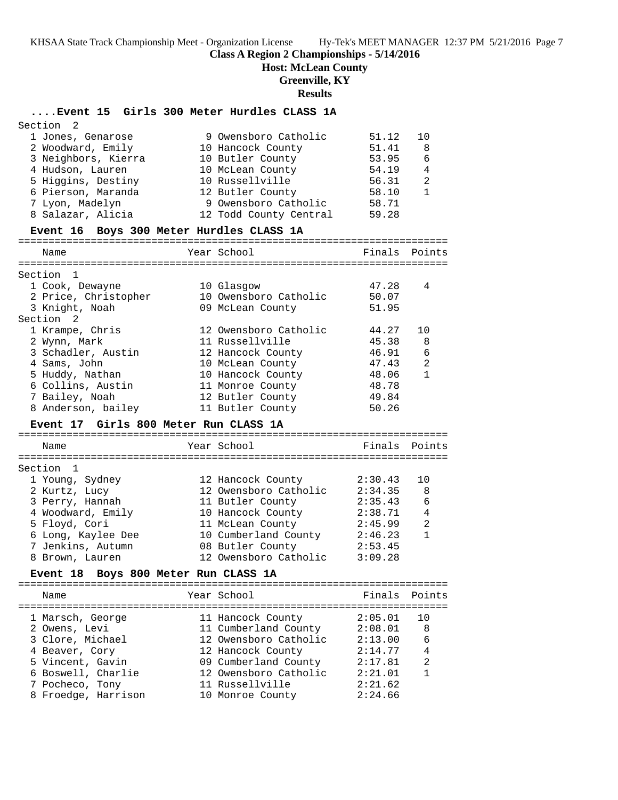# **Class A Region 2 Championships - 5/14/2016**

**Host: McLean County**

**Greenville, KY**

# **Results**

# **....Event 15 Girls 300 Meter Hurdles CLASS 1A**

| Section 2                                |                        |               |                |
|------------------------------------------|------------------------|---------------|----------------|
| 1 Jones, Genarose                        | 9 Owensboro Catholic   | 51.12         | 10             |
| 2 Woodward, Emily                        | 10 Hancock County      | 51.41         | -8             |
| 3 Neighbors, Kierra                      | 10 Butler County       | 53.95         | 6              |
| 4 Hudson, Lauren                         | 10 McLean County       | 54.19         | $\overline{4}$ |
| 5 Higgins, Destiny                       | 10 Russellville        | 56.31         | $\overline{2}$ |
| 6 Pierson, Maranda                       | 12 Butler County       | 58.10         | $\overline{1}$ |
| 7 Lyon, Madelyn                          | 9 Owensboro Catholic   | 58.71         |                |
| 8 Salazar, Alicia                        | 12 Todd County Central | 59.28         |                |
| Event 16 Boys 300 Meter Hurdles CLASS 1A |                        |               |                |
| Name                                     | Year School            | Finals Points |                |
| Section                                  |                        |               |                |

| Section 1            |                       |       |    |
|----------------------|-----------------------|-------|----|
| 1 Cook, Dewayne      | 10 Glasgow            | 47.28 | 4  |
| 2 Price, Christopher | 10 Owensboro Catholic | 50.07 |    |
| 3 Knight, Noah       | 09 McLean County      | 51.95 |    |
| Section 2            |                       |       |    |
| 1 Krampe, Chris      | 12 Owensboro Catholic | 44.27 | 10 |
| 2 Wynn, Mark         | 11 Russellville       | 45.38 | 8  |
| 3 Schadler, Austin   | 12 Hancock County     | 46.91 | 6  |
| 4 Sams, John         | 10 McLean County      | 47.43 | 2  |
| 5 Huddy, Nathan      | 10 Hancock County     | 48.06 | 1  |
| 6 Collins, Austin    | 11 Monroe County      | 48.78 |    |
| 7 Bailey, Noah       | 12 Butler County      | 49.84 |    |
| 8 Anderson, bailey   | 11 Butler County      | 50.26 |    |

# **Event 17 Girls 800 Meter Run CLASS 1A**

======================================================================= Name Year School ======================================================================= Section 1 1 Young, Sydney 12 Hancock County 2:30.43 10 2 Kurtz, Lucy 12 Owensboro Catholic 2:34.35 8 3 Perry, Hannah 11 Butler County 2:35.43 6 4 Woodward, Emily 10 Hancock County 2:38.71 4 5 Floyd, Cori 11 McLean County 2:45.99 2 6 Long, Kaylee Dee 10 Cumberland County 2:46.23 1 7 Jenkins, Autumn 08 Butler County 2:53.45 8 Brown, Lauren 12 Owensboro Catholic 3:09.28

# **Event 18 Boys 800 Meter Run CLASS 1A**

| Name                | Year School           | Finals Points |                |
|---------------------|-----------------------|---------------|----------------|
| 1 Marsch, George    | 11 Hancock County     | 2:05.01       | 1 N            |
| 2 Owens, Levi       | 11 Cumberland County  | 2:08.01       | 8              |
| 3 Clore, Michael    | 12 Owensboro Catholic | 2:13.00       | 6              |
| 4 Beaver, Cory      | 12 Hancock County     | 2:14.77       | 4              |
| 5 Vincent, Gavin    | 09 Cumberland County  | 2:17.81       | $\mathfrak{D}$ |
| 6 Boswell, Charlie  | 12 Owensboro Catholic | 2:21.01       | 1              |
| 7 Pocheco, Tony     | 11 Russellville       | 2:21.62       |                |
| 8 Froedge, Harrison | 10 Monroe County      | 2:24.66       |                |
|                     |                       |               |                |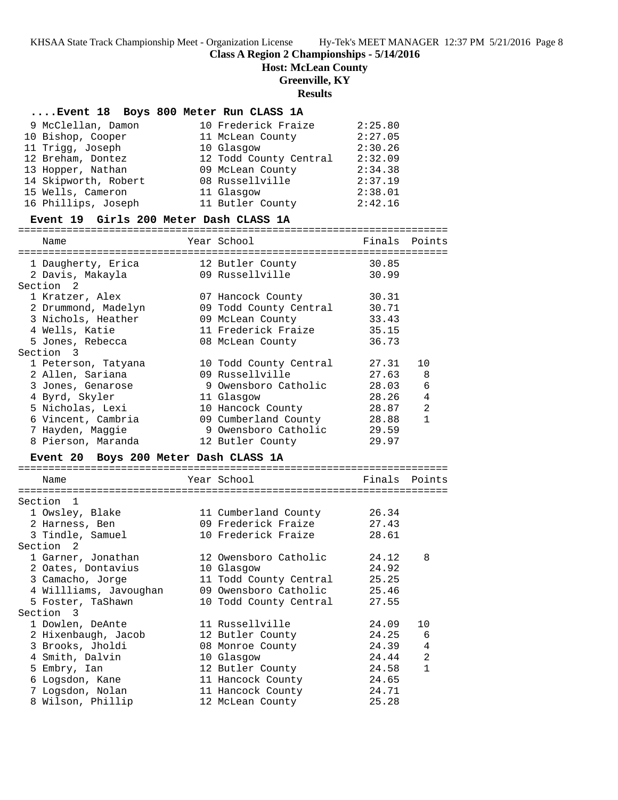# **Class A Region 2 Championships - 5/14/2016**

**Host: McLean County**

# **Greenville, KY**

# **Results**

# **....Event 18 Boys 800 Meter Run CLASS 1A**

| 9 McClellan, Damon   | 10 Frederick Fraize    | 2:25.80 |
|----------------------|------------------------|---------|
| 10 Bishop, Cooper    | 11 McLean County       | 2:27.05 |
| 11 Trigg, Joseph     | 10 Glasgow             | 2:30.26 |
| 12 Breham, Dontez    | 12 Todd County Central | 2:32.09 |
| 13 Hopper, Nathan    | 09 McLean County       | 2:34.38 |
| 14 Skipworth, Robert | 08 Russellville        | 2:37.19 |
| 15 Wells, Cameron    | 11 Glasgow             | 2:38.01 |
| 16 Phillips, Joseph  | 11 Butler County       | 2:42.16 |

#### **Event 19 Girls 200 Meter Dash CLASS 1A**

======================================================================= Name The Year School The Finals Points ======================================================================= 1 Daugherty, Erica 12 Butler County 30.85 2 Davis, Makayla 09 Russellville 30.99 Section 2 1 Kratzer, Alex 07 Hancock County 30.31 2 Drummond, Madelyn 09 Todd County Central 30.71 3 Nichols, Heather 09 McLean County 33.43 4 Wells, Katie 11 Frederick Fraize 35.15 5 Jones, Rebecca 08 McLean County 36.73 Section 3 1 Peterson, Tatyana 10 Todd County Central 27.31 10 2 Allen, Sariana 09 Russellville 27.63 8 3 Jones, Genarose 9 Owensboro Catholic 28.03 6 4 Byrd, Skyler 11 Glasgow 28.26 4 5 Nicholas, Lexi 10 Hancock County 28.87 2 6 Vincent, Cambria 09 Cumberland County 28.88 1 7 Hayden, Maggie 9 Owensboro Catholic 29.59

8 Pierson, Maranda 12 Butler County 29.97

# **Event 20 Boys 200 Meter Dash CLASS 1A**

| Name                        | Year School States     | Finals Points |                |
|-----------------------------|------------------------|---------------|----------------|
| --------------------------- | ----------------       |               |                |
| Section<br>$\overline{1}$   |                        |               |                |
| 1 Owsley, Blake             | 11 Cumberland County   | 26.34         |                |
| 2 Harness, Ben              | 09 Frederick Fraize    | 27.43         |                |
| 3 Tindle, Samuel            | 10 Frederick Fraize    | 28.61         |                |
| Section 2                   |                        |               |                |
| 1 Garner, Jonathan          | 12 Owensboro Catholic  | 24.12         | 8              |
| 2 Oates, Dontavius          | 10 Glasgow             | 24.92         |                |
| 3 Camacho, Jorge            | 11 Todd County Central | 25.25         |                |
| 4 Willliams, Javoughan      | 09 Owensboro Catholic  | 25.46         |                |
| 5 Foster, TaShawn           | 10 Todd County Central | 27.55         |                |
| Section 3                   |                        |               |                |
| 1 Dowlen, DeAnte            | 11 Russellville        | 24.09         | 10             |
| 2 Hixenbaugh, Jacob         | 12 Butler County       | 24.25         | 6              |
| 3 Brooks, Jholdi            | 08 Monroe County       | 24.39         | $\overline{4}$ |
| 4 Smith, Dalvin             | 10 Glasgow             | 24.44         | 2              |
| 5 Embry, Ian                | 12 Butler County       | 24.58         | $\mathbf{1}$   |
| 6 Logsdon, Kane             | 11 Hancock County      | 24.65         |                |
| 7 Logsdon, Nolan            | 11 Hancock County      | 24.71         |                |
| 8 Wilson, Phillip           | 12 McLean County       | 25.28         |                |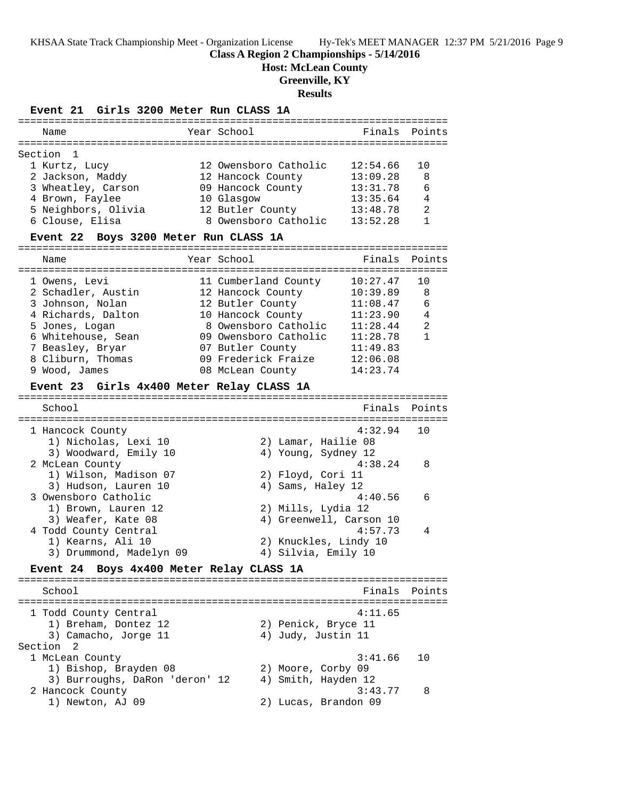**Class A Region 2 Championships - 5/14/2016**

**Host: McLean County**

**Greenville, KY**

**Results**

| <b>Event 21</b><br>Girls 3200 Meter Run CLASS 1A   |  |                         |          |                |  |  |
|----------------------------------------------------|--|-------------------------|----------|----------------|--|--|
| Name                                               |  | Year School             | Finals   | Points         |  |  |
| Section 1                                          |  |                         |          |                |  |  |
| 1 Kurtz, Lucy                                      |  | 12 Owensboro Catholic   | 12:54.66 | 10             |  |  |
| 2 Jackson, Maddy                                   |  | 12 Hancock County       | 13:09.28 | 8              |  |  |
| 3 Wheatley, Carson                                 |  | 09 Hancock County       | 13:31.78 | 6              |  |  |
| 4 Brown, Faylee                                    |  | 10 Glasgow              | 13:35.64 | 4              |  |  |
| 5 Neighbors, Olivia                                |  | 12 Butler County        | 13:48.78 | $\overline{2}$ |  |  |
| 6 Clouse, Elisa                                    |  | 8 Owensboro Catholic    | 13:52.28 | $\mathbf{1}$   |  |  |
| Event 22 Boys 3200 Meter Run CLASS 1A              |  |                         |          |                |  |  |
| Name                                               |  | Year School             | Finals   | Points         |  |  |
| 1 Owens, Levi                                      |  | 11 Cumberland County    | 10:27.47 | 10             |  |  |
| 2 Schadler, Austin                                 |  | 12 Hancock County       | 10:39.89 | 8              |  |  |
| 3 Johnson, Nolan                                   |  | 12 Butler County        | 11:08.47 | 6              |  |  |
| 4 Richards, Dalton                                 |  | 10 Hancock County       | 11:23.90 | 4              |  |  |
| 5 Jones, Logan                                     |  | 8 Owensboro Catholic    | 11:28.44 | 2              |  |  |
| 6 Whitehouse, Sean                                 |  | 09 Owensboro Catholic   | 11:28.78 | 1              |  |  |
| 7 Beasley, Bryar                                   |  | 07 Butler County        | 11:49.83 |                |  |  |
| 8 Cliburn, Thomas                                  |  | 09 Frederick Fraize     | 12:06.08 |                |  |  |
| 9 Wood, James                                      |  | 08 McLean County        | 14:23.74 |                |  |  |
| Event 23 Girls 4x400 Meter Relay CLASS 1A          |  |                         |          |                |  |  |
| School                                             |  |                         | Finals   | Points         |  |  |
| 1 Hancock County                                   |  |                         | 4:32.94  | 10             |  |  |
| 1) Nicholas, Lexi 10                               |  | 2) Lamar, Hailie 08     |          |                |  |  |
| 3) Woodward, Emily 10                              |  | 4) Young, Sydney 12     |          |                |  |  |
| 2 McLean County                                    |  |                         | 4:38.24  | 8              |  |  |
| 1) Wilson, Madison 07                              |  | 2) Floyd, Cori 11       |          |                |  |  |
| 3) Hudson, Lauren 10                               |  | 4) Sams, Haley 12       |          |                |  |  |
| 3 Owensboro Catholic                               |  |                         | 4:40.56  | 6              |  |  |
| 1) Brown, Lauren 12                                |  | 2) Mills, Lydia 12      |          |                |  |  |
| 3) Weafer, Kate 08                                 |  | 4) Greenwell, Carson 10 |          |                |  |  |
| 4 Todd County Central                              |  |                         | 4:57.73  | 4              |  |  |
| 1) Kearns, Ali 10                                  |  | 2) Knuckles, Lindy 10   |          |                |  |  |
| 3) Drummond, Madelyn 09                            |  | 4) Silvia, Emily 10     |          |                |  |  |
| Boys 4x400 Meter Relay CLASS 1A<br><b>Event 24</b> |  |                         |          |                |  |  |

======================================================================= School **Finals** Points ======================================================================= 1 Todd County Central 4:11.65 1) Breham, Dontez 12 2) Penick, Bryce 11 3) Camacho, Jorge 11 (4) Judy, Justin 11 Section 2<br>1 McLean County 1 McLean County 3:41.66 10 1) Bishop, Brayden 08 2) Moore, Corby 09 3) Burroughs, DaRon 'deron' 12 4) Smith, Hayden 12 2 Hancock County 3:43.77 8 1) Newton, AJ 09 2) Lucas, Brandon 09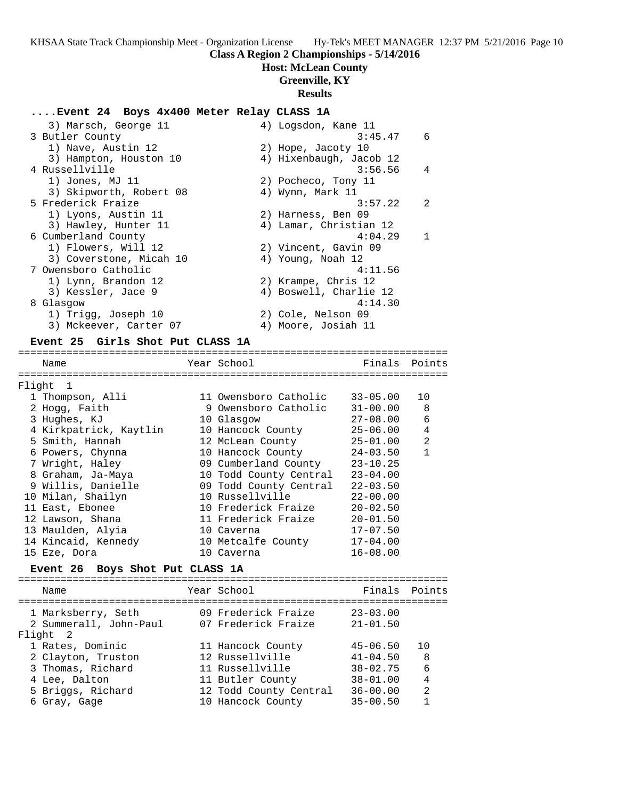# **Class A Region 2 Championships - 5/14/2016**

# **Host: McLean County**

# **Greenville, KY**

# **Results**

# **....Event 24 Boys 4x400 Meter Relay CLASS 1A**

| 3) Marsch, George 11    | 4) Logsdon, Kane 11      |
|-------------------------|--------------------------|
| 3 Butler County         | 3:45.47<br>6             |
| 1) Nave, Austin 12      | 2) Hope, Jacoty 10       |
| 3) Hampton, Houston 10  | 4) Hixenbaugh, Jacob 12  |
| 4 Russellville          | 3:56.56<br>4             |
| 1) Jones, MJ 11         | 2) Pocheco, Tony 11      |
| 3) Skipworth, Robert 08 | 4) Wynn, Mark 11         |
| 5 Frederick Fraize      | $\mathcal{D}$<br>3:57.22 |
| 1) Lyons, Austin 11     | 2) Harness, Ben 09       |
| 3) Hawley, Hunter 11    | 4) Lamar, Christian 12   |
| 6 Cumberland County     | 4:04.29                  |
| 1) Flowers, Will 12     | 2) Vincent, Gavin 09     |
| 3) Coverstone, Micah 10 | 4) Young, Noah 12        |
| 7 Owensboro Catholic    | 4:11.56                  |
| 1) Lynn, Brandon 12     | 2) Krampe, Chris 12      |
| 3) Kessler, Jace 9      | 4) Boswell, Charlie 12   |
| 8 Glasgow               | 4:14.30                  |
| 1) Trigg, Joseph 10     | 2) Cole, Nelson 09       |
| 3) Mckeever, Carter 07  | 4) Moore, Josiah 11      |

### **Event 25 Girls Shot Put CLASS 1A**

| Name                                       | Year School            | Finals Points |                |
|--------------------------------------------|------------------------|---------------|----------------|
|                                            |                        |               |                |
| Flight 1                                   |                        |               |                |
| 1 Thompson, Alli                           | 11 Owensboro Catholic  | $33 - 05.00$  | 10             |
| 2 Hogg, Faith                              | 9 Owensboro Catholic   | $31 - 00.00$  | 8              |
| 3 Hughes, KJ                               | 10 Glasgow             | $27 - 08.00$  | 6              |
| 4 Kirkpatrick, Kaytlin                     | 10 Hancock County      | 25-06.00      | 4              |
| 5 Smith, Hannah                            | 12 McLean County       | $25 - 01.00$  | $\overline{a}$ |
| 6 Powers, Chynna                           | 10 Hancock County      | $24 - 03.50$  | $\mathbf{1}$   |
| 7 Wright, Haley                            | 09 Cumberland County   | $23 - 10.25$  |                |
| 8 Graham, Ja-Maya                          | 10 Todd County Central | $23 - 04.00$  |                |
| 9 Willis, Danielle                         | 09 Todd County Central | $22 - 03.50$  |                |
| 10 Milan, Shailyn                          | 10 Russellville        | $22 - 00.00$  |                |
| 11 East, Ebonee                            | 10 Frederick Fraize    | $20 - 02.50$  |                |
| 12 Lawson, Shana                           | 11 Frederick Fraize    | $20 - 01.50$  |                |
| 13 Maulden, Alyia                          | 10 Caverna             | $17 - 07.50$  |                |
| 14 Kincaid, Kennedy                        | 10 Metcalfe County     | $17 - 04.00$  |                |
| 15 Eze, Dora                               | 10 Caverna             | $16 - 08.00$  |                |
| Event 26 Boys Shot Put CLASS 1A            |                        |               |                |
|                                            |                        |               |                |
| Name                                       | Year School            | Finals        | Points         |
| 1 Marksberry, Seth 69 Frederick Fraize     |                        | $23 - 03.00$  |                |
| 2 Summerall, John-Paul 07 Frederick Fraize |                        | $21 - 01.50$  |                |
| Flight 2                                   |                        |               |                |
| 1 Rates, Dominic                           | 11 Hancock County      | 45-06.50      | 10             |

 2 Clayton, Truston 12 Russellville 41-04.50 8 3 Thomas, Richard 11 Russellville 38-02.75 6 4 Lee, Dalton 11 Butler County 38-01.00 4 5 Briggs, Richard 12 Todd County Central 36-00.00 2 6 Gray, Gage 10 Hancock County 35-00.50 1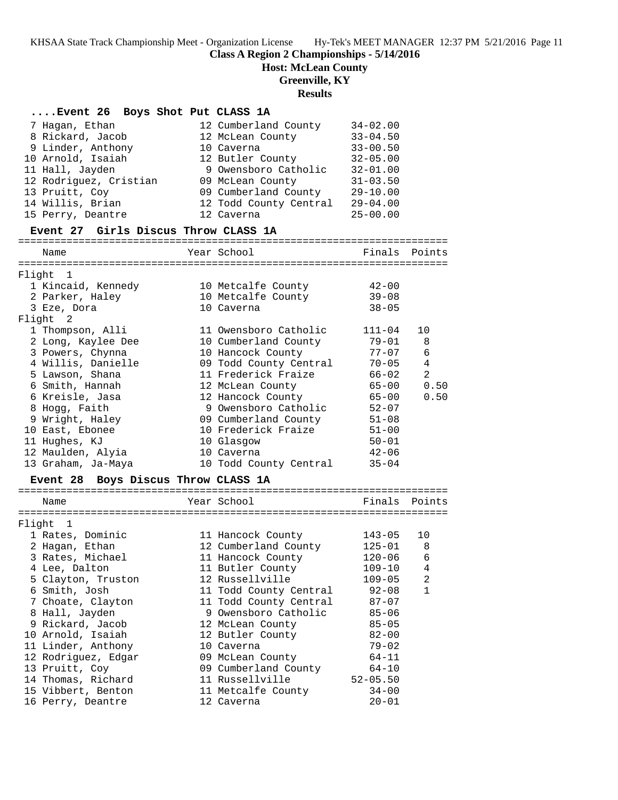# **Class A Region 2 Championships - 5/14/2016**

**Host: McLean County**

**Greenville, KY**

**Results**

| Event 26 Boys Shot Put CLASS 1A      |  |                                   |               |                |  |  |
|--------------------------------------|--|-----------------------------------|---------------|----------------|--|--|
| 7 Hagan, Ethan                       |  | 12 Cumberland County              | $34 - 02.00$  |                |  |  |
| 8 Rickard, Jacob                     |  | 12 McLean County                  | $33 - 04.50$  |                |  |  |
| 9 Linder, Anthony<br>10 Caverna      |  |                                   | $33 - 00.50$  |                |  |  |
| 10 Arnold, Isaiah                    |  | 12 Butler County                  | $32 - 05.00$  |                |  |  |
| 11 Hall, Jayden                      |  | 9 Owensboro Catholic              | $32 - 01.00$  |                |  |  |
| 12 Rodriguez, Cristian               |  | 09 McLean County                  | $31 - 03.50$  |                |  |  |
| 13 Pruitt, Coy                       |  | 09 Cumberland County              | $29 - 10.00$  |                |  |  |
| 14 Willis, Brian                     |  | 12 Todd County Central            | $29 - 04.00$  |                |  |  |
| 15 Perry, Deantre                    |  | 12 Caverna                        | $25 - 00.00$  |                |  |  |
| Event 27 Girls Discus Throw CLASS 1A |  |                                   |               |                |  |  |
| Name                                 |  | Year School                       |               | Finals Points  |  |  |
| Flight 1                             |  |                                   |               |                |  |  |
| 1 Kincaid, Kennedy                   |  | 10 Metcalfe County                | 42-00         |                |  |  |
| 2 Parker, Haley                      |  | 10 Metcalfe County                | $39 - 08$     |                |  |  |
| 3 Eze, Dora                          |  | 10 Caverna                        | $38 - 05$     |                |  |  |
| Flight 2                             |  |                                   |               |                |  |  |
| 1 Thompson, Alli                     |  | 11 Owensboro Catholic             | 111-04        | 10             |  |  |
| 2 Long, Kaylee Dee                   |  | 10 Cumberland County              | $79 - 01$     | 8              |  |  |
| 3 Powers, Chynna                     |  | 10 Hancock County                 | $77 - 07$     | 6              |  |  |
| 4 Willis, Danielle                   |  | 09 Todd County Central            | $70 - 05$     | $\overline{4}$ |  |  |
| 5 Lawson, Shana                      |  | 11 Frederick Fraize               | $66 - 02$     | 2              |  |  |
| 6 Smith, Hannah                      |  | 12 McLean County                  | $65 - 00$     | 0.50           |  |  |
| 6 Kreisle, Jasa                      |  | 12 Hancock County                 | $65 - 00$     | 0.50           |  |  |
| 8 Hogg, Faith                        |  | 9 Owensboro Catholic              | $52 - 07$     |                |  |  |
| 9 Wright, Haley                      |  | 09 Cumberland County              | $51 - 08$     |                |  |  |
| 10 East, Ebonee                      |  | 10 Frederick Fraize               | $51 - 00$     |                |  |  |
| 11 Hughes, KJ                        |  | 10 Glasgow                        | $50 - 01$     |                |  |  |
| 12 Maulden, Alyia                    |  | 10 Caverna                        | $42 - 06$     |                |  |  |
| 13 Graham, Ja-Maya                   |  | 10 Todd County Central            | $35 - 04$     |                |  |  |
| Event 28 Boys Discus Throw CLASS 1A  |  |                                   |               |                |  |  |
| Name                                 |  | Year School                       | Finals Points |                |  |  |
|                                      |  |                                   |               |                |  |  |
| Flight 1                             |  |                                   |               |                |  |  |
| 1 Rates, Dominic                     |  | 11 Hancock County                 | 143-05        | 10             |  |  |
| 2 Hagan, Ethan                       |  | 12 Cumberland County              | $125 - 01$    | 8              |  |  |
| 3 Rates, Michael                     |  | 11 Hancock County                 | $120 - 06$    | 6              |  |  |
| 4 Lee, Dalton                        |  | 11 Butler County                  | $109 - 10$    | 4              |  |  |
| 5 Clayton, Truston                   |  | 12 Russellville                   | $109 - 05$    | 2              |  |  |
| 6 Smith, Josh                        |  | 11 Todd County Central            | $92 - 08$     | 1              |  |  |
| 7 Choate, Clayton                    |  | 11 Todd County Central            | $87 - 07$     |                |  |  |
| 8 Hall, Jayden                       |  | 9 Owensboro Catholic              | $85 - 06$     |                |  |  |
| 9 Rickard, Jacob                     |  | 12 McLean County                  | $85 - 05$     |                |  |  |
| 10 Arnold, Isaiah                    |  | 12 Butler County                  | $82 - 00$     |                |  |  |
| 11 Linder, Anthony                   |  | 10 Caverna                        | $79 - 02$     |                |  |  |
| 12 Rodriguez, Edgar                  |  | 09 McLean County                  | $64 - 11$     |                |  |  |
| 13 Pruitt, Coy                       |  | 09 Cumberland County<br>$64 - 10$ |               |                |  |  |
| 14 Thomas, Richard                   |  | 11 Russellville                   | $52 - 05.50$  |                |  |  |
| 15 Vibbert, Benton                   |  | 11 Metcalfe County                | $34 - 00$     |                |  |  |
| 16 Perry, Deantre                    |  | 12 Caverna                        | 20-01         |                |  |  |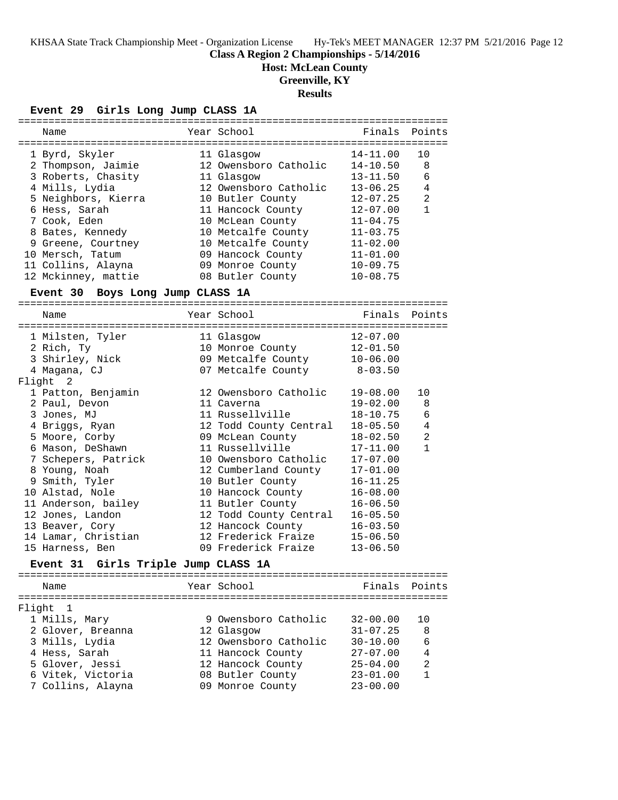# **Class A Region 2 Championships - 5/14/2016**

**Host: McLean County**

**Greenville, KY**

# **Results**

**Event 29 Girls Long Jump CLASS 1A**

|        | Name                                |  | Year School                 | Finals                       | Points       |  |  |
|--------|-------------------------------------|--|-----------------------------|------------------------------|--------------|--|--|
|        | 1 Byrd, Skyler                      |  | 11 Glasgow                  | 14-11.00                     | 10           |  |  |
|        | 2 Thompson, Jaimie                  |  | 12 Owensboro Catholic       | $14 - 10.50$                 | 8            |  |  |
|        | 3 Roberts, Chasity                  |  | 11 Glasgow                  | $13 - 11.50$                 | 6            |  |  |
|        | 4 Mills, Lydia                      |  | 12 Owensboro Catholic       | $13 - 06.25$                 | 4            |  |  |
|        | 5 Neighbors, Kierra                 |  | 10 Butler County            | $12 - 07.25$                 | 2            |  |  |
|        | 6 Hess, Sarah                       |  | 11 Hancock County           | $12 - 07.00$                 | $\mathbf{1}$ |  |  |
|        | 7 Cook, Eden                        |  | 10 McLean County            | $11 - 04.75$                 |              |  |  |
|        | 8 Bates, Kennedy                    |  | 10 Metcalfe County          | $11 - 03.75$                 |              |  |  |
|        | 9 Greene, Courtney                  |  | 10 Metcalfe County 11-02.00 |                              |              |  |  |
|        | 10 Mersch, Tatum                    |  | 09 Hancock County 11-01.00  |                              |              |  |  |
|        | 11 Collins, Alayna                  |  | 09 Monroe County            | $10 - 09.75$                 |              |  |  |
|        | 12 Mckinney, mattie                 |  | 08 Butler County            | $10 - 08.75$                 |              |  |  |
|        | Event 30 Boys Long Jump CLASS 1A    |  |                             |                              |              |  |  |
|        |                                     |  |                             |                              |              |  |  |
|        | Name                                |  | Year School                 | Finals                       | Points       |  |  |
|        | 1 Milsten, Tyler                    |  | 11 Glasgow                  | $12 - 07.00$                 |              |  |  |
|        | 2 Rich, Ty                          |  | 10 Monroe County            | $12 - 01.50$                 |              |  |  |
|        | 3 Shirley, Nick                     |  | 09 Metcalfe County          | $10 - 06.00$                 |              |  |  |
|        | 4 Magana, CJ                        |  | 07 Metcalfe County          | $8 - 03.50$                  |              |  |  |
|        | Flight<br>2                         |  |                             |                              |              |  |  |
|        | 1 Patton, Benjamin                  |  | 12 Owensboro Catholic       | $19 - 08.00$                 | 10           |  |  |
|        | 2 Paul, Devon                       |  | 11 Caverna                  | $19 - 02.00$                 | 8            |  |  |
|        | 3 Jones, MJ                         |  | 11 Russellville             | $18 - 10.75$                 | 6            |  |  |
|        | 4 Briggs, Ryan                      |  | 12 Todd County Central      | $18 - 05.50$                 | 4            |  |  |
|        | 5 Moore, Corby                      |  | 09 McLean County            | $18 - 02.50$                 | 2            |  |  |
|        | 6 Mason, DeShawn                    |  | 11 Russellville             | $17 - 11.00$                 | $\mathbf{1}$ |  |  |
|        | 7 Schepers, Patrick                 |  | 10 Owensboro Catholic       | $17 - 07.00$                 |              |  |  |
|        | 8 Young, Noah                       |  | 12 Cumberland County        | $17 - 01.00$                 |              |  |  |
|        | 9 Smith, Tyler                      |  | 10 Butler County            | $16 - 11.25$                 |              |  |  |
|        | 10 Alstad, Nole                     |  | 10 Hancock County           | $16 - 08.00$                 |              |  |  |
|        | 11 Anderson, bailey                 |  | 11 Butler County            | $16 - 06.50$                 |              |  |  |
|        | 12 Jones, Landon                    |  | 12 Todd County Central      | $16 - 05.50$                 |              |  |  |
|        | 13 Beaver, Cory                     |  | 12 Hancock County           | $16 - 03.50$                 |              |  |  |
|        | 14 Lamar, Christian                 |  | 12 Frederick Fraize         | $15 - 06.50$                 |              |  |  |
|        | 15 Harness, Ben                     |  | 09 Frederick Fraize         | $13 - 06.50$                 |              |  |  |
|        | Event 31 Girls Triple Jump CLASS 1A |  |                             |                              |              |  |  |
|        |                                     |  |                             |                              |              |  |  |
|        | Name                                |  | Year School                 | Finals                       | Points       |  |  |
|        |                                     |  |                             |                              |              |  |  |
| Flight | $\mathbf{1}$                        |  | 9 Owensboro Catholic        |                              |              |  |  |
|        | 1 Mills, Mary                       |  |                             | $32 - 00.00$<br>$31 - 07.25$ | 10           |  |  |
|        | 2 Glover, Breanna                   |  | 12 Glasgow                  |                              | 8            |  |  |
|        | 3 Mills, Lydia                      |  | 12 Owensboro Catholic       | $30 - 10.00$                 | 6            |  |  |
|        | 4 Hess, Sarah                       |  | 11 Hancock County           | $27 - 07.00$                 | 4            |  |  |
|        | 5 Glover, Jessi                     |  | 12 Hancock County           | $25 - 04.00$                 | 2            |  |  |
|        | 6 Vitek, Victoria                   |  | 08 Butler County            | $23 - 01.00$                 | $\mathbf{1}$ |  |  |
|        | 7 Collins, Alayna                   |  | 09 Monroe County            | $23 - 00.00$                 |              |  |  |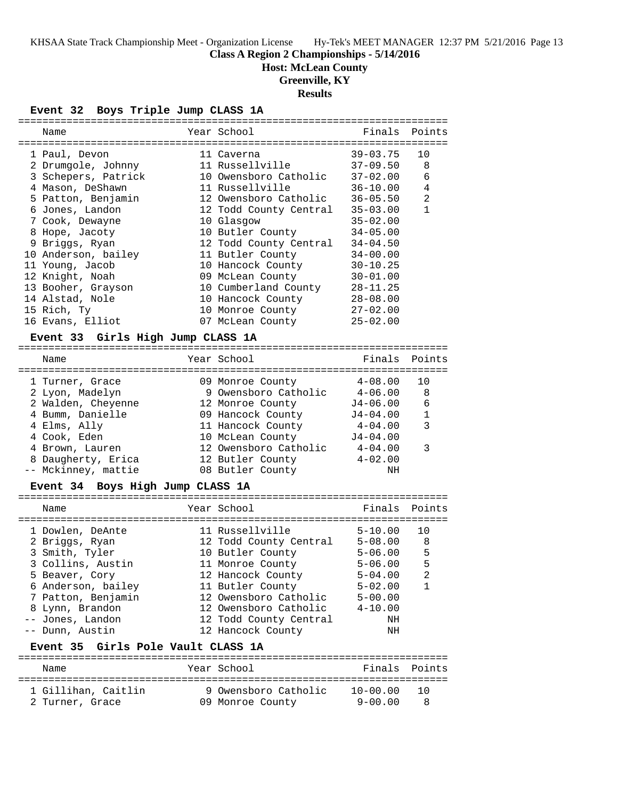# **Class A Region 2 Championships - 5/14/2016**

**Host: McLean County**

# **Greenville, KY**

**Results**

**Event 32 Boys Triple Jump CLASS 1A**

| Name                | Year School            | Finals       | Points       |
|---------------------|------------------------|--------------|--------------|
| 1 Paul, Devon       | 11 Caverna             | $39 - 03.75$ | 10           |
| 2 Drumqole, Johnny  | 11 Russellville        | $37 - 09.50$ | 8            |
| 3 Schepers, Patrick | 10 Owensboro Catholic  | $37 - 02.00$ | 6            |
| 4 Mason, DeShawn    | 11 Russellville        | $36 - 10.00$ | 4            |
| 5 Patton, Benjamin  | 12 Owensboro Catholic  | $36 - 05.50$ | 2            |
| 6 Jones, Landon     | 12 Todd County Central | $35 - 03.00$ | $\mathbf{1}$ |
| 7 Cook, Dewayne     | 10 Glasgow             | $35 - 02.00$ |              |
| 8 Hope, Jacoty      | 10 Butler County       | $34 - 05.00$ |              |
| 9 Briggs, Ryan      | 12 Todd County Central | $34 - 04.50$ |              |
| 10 Anderson, bailey | 11 Butler County       | $34 - 00.00$ |              |
| 11 Young, Jacob     | 10 Hancock County      | $30 - 10.25$ |              |
| 12 Knight, Noah     | 09 McLean County       | $30 - 01.00$ |              |
| 13 Booher, Grayson  | 10 Cumberland County   | $28 - 11.25$ |              |
| 14 Alstad, Nole     | 10 Hancock County      | $28 - 08.00$ |              |
| 15 Rich, Ty         | 10 Monroe County       | $27 - 02.00$ |              |
| 16 Evans, Elliot    | 07 McLean County       | $25 - 02.00$ |              |
|                     |                        |              |              |

# **Event 33 Girls High Jump CLASS 1A**

======================================================================= Name Year School Finals Points ======================================================================= 1 Turner, Grace 09 Monroe County 4-08.00 10 2 Lyon, Madelyn 9 Owensboro Catholic 4-06.00 8 2 Walden, Cheyenne 12 Monroe County J4-06.00 6 4 Bumm, Danielle 09 Hancock County J4-04.00 1 4 Elms, Ally 11 Hancock County 4-04.00 3 4 Cook, Eden 10 McLean County J4-04.00 4 Brown, Lauren 12 Owensboro Catholic 4-04.00 3 8 Daugherty, Erica 12 Butler County 4-02.00 -- Mckinney, mattie 08 Butler County NH

# **Event 34 Boys High Jump CLASS 1A**

|                                    | Name                |  | Year School            | Finals       | Points       |  |  |
|------------------------------------|---------------------|--|------------------------|--------------|--------------|--|--|
|                                    |                     |  |                        |              |              |  |  |
|                                    | 1 Dowlen, DeAnte    |  | 11 Russellville        | $5 - 10.00$  | 1 O          |  |  |
|                                    | 2 Briggs, Ryan      |  | 12 Todd County Central | $5 - 08.00$  | 8            |  |  |
|                                    | 3 Smith, Tyler      |  | 10 Butler County       | $5 - 06.00$  | 5            |  |  |
|                                    | 3 Collins, Austin   |  | 11 Monroe County       | $5 - 06.00$  | 5            |  |  |
|                                    | 5 Beaver, Cory      |  | 12 Hancock County      | $5 - 04.00$  | 2            |  |  |
|                                    | 6 Anderson, bailey  |  | 11 Butler County       | $5 - 02.00$  | $\mathbf{1}$ |  |  |
|                                    | 7 Patton, Benjamin  |  | 12 Owensboro Catholic  | $5 - 00.00$  |              |  |  |
|                                    | 8 Lynn, Brandon     |  | 12 Owensboro Catholic  | $4 - 10.00$  |              |  |  |
|                                    | -- Jones, Landon    |  | 12 Todd County Central | NΗ           |              |  |  |
|                                    | -- Dunn, Austin     |  | 12 Hancock County      | NΗ           |              |  |  |
| Event 35 Girls Pole Vault CLASS 1A |                     |  |                        |              |              |  |  |
|                                    | Name                |  | Year School            | Finals       | Points       |  |  |
|                                    | 1 Gillihan, Caitlin |  | 9 Owensboro Catholic   | $10 - 00.00$ | 1 O          |  |  |

2 Turner, Grace 09 Monroe County 9-00.00 8